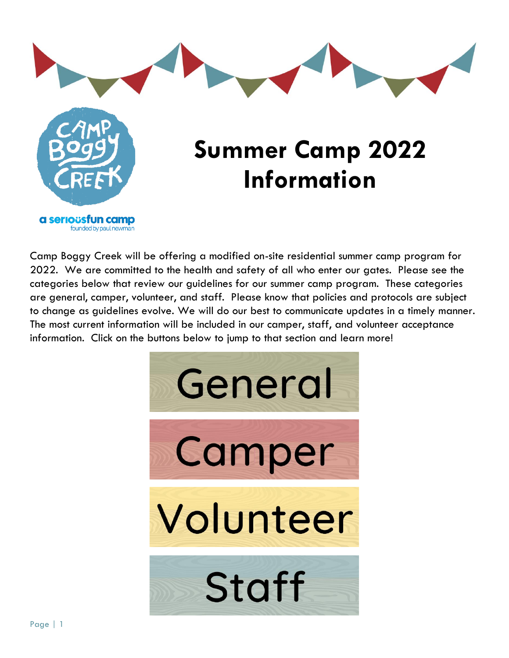

Camp Boggy Creek will be offering a modified on-site residential summer camp program for 2022. We are committed to the health and safety of all who enter our gates. Please see the categories below that review our guidelines for our summer camp program. These categories are general, camper, volunteer, and staff. Please know that policies and protocols are subject to change as guidelines evolve. We will do our best to communicate updates in a timely manner. The most current information will be included in our camper, staff, and volunteer acceptance information. Click on the buttons below to jump to that section and learn more!

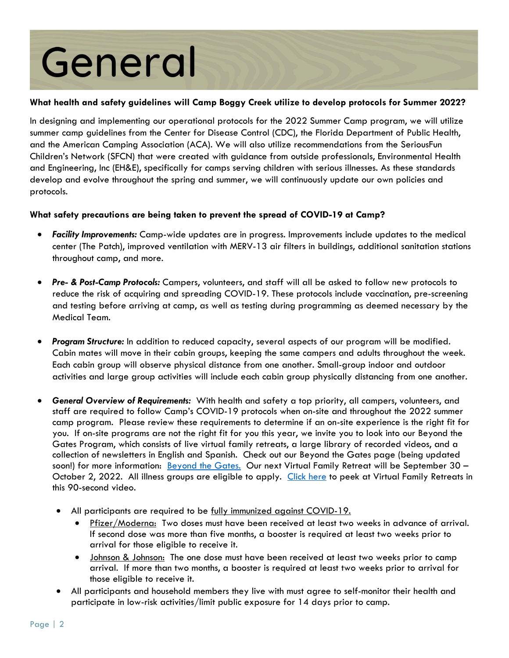# General

# **What health and safety guidelines will Camp Boggy Creek utilize to develop protocols for Summer 2022?**

In designing and implementing our operational protocols for the 2022 Summer Camp program, we will utilize summer camp guidelines from the Center for Disease Control (CDC), the Florida Department of Public Health, and the American Camping Association (ACA). We will also utilize recommendations from the SeriousFun Children's Network (SFCN) that were created with guidance from outside professionals, Environmental Health and Engineering, Inc (EH&E), specifically for camps serving children with serious illnesses. As these standards develop and evolve throughout the spring and summer, we will continuously update our own policies and protocols.

# **What safety precautions are being taken to prevent the spread of COVID-19 at Camp?**

- *Facility Improvements:* Camp-wide updates are in progress. Improvements include updates to the medical center (The Patch), improved ventilation with MERV-13 air filters in buildings, additional sanitation stations throughout camp, and more.
- *Pre- & Post-Camp Protocols:* Campers, volunteers, and staff will all be asked to follow new protocols to reduce the risk of acquiring and spreading COVID-19. These protocols include vaccination, pre-screening and testing before arriving at camp, as well as testing during programming as deemed necessary by the Medical Team.
- *Program Structure:* In addition to reduced capacity, several aspects of our program will be modified. Cabin mates will move in their cabin groups, keeping the same campers and adults throughout the week. Each cabin group will observe physical distance from one another. Small-group indoor and outdoor activities and large group activities will include each cabin group physically distancing from one another.
- *General Overview of Requirements:* With health and safety a top priority, all campers, volunteers, and staff are required to follow Camp's COVID-19 protocols when on-site and throughout the 2022 summer camp program. Please review these requirements to determine if an on-site experience is the right fit for you. If on-site programs are not the right fit for you this year, we invite you to look into our Beyond the Gates Program, which consists of live virtual family retreats, a large library of recorded videos, and a collection of newsletters in English and Spanish. Check out our Beyond the Gates page (being updated soon!) for more information: **Beyond the Gates.** Our next Virtual Family Retreat will be September 30 -October 2, 2022. All illness groups are eligible to apply. [Click here](https://www.youtube.com/watch?v=kcy0g36p8zw) to peek at Virtual Family Retreats in this 90-second video.
	- All participants are required to be fully immunized against COVID-19.
		- Pfizer/Moderna: Two doses must have been received at least two weeks in advance of arrival. If second dose was more than five months, a booster is required at least two weeks prior to arrival for those eligible to receive it.
		- Johnson & Johnson: The one dose must have been received at least two weeks prior to camp arrival. If more than two months, a booster is required at least two weeks prior to arrival for those eligible to receive it.
	- All participants and household members they live with must agree to self-monitor their health and participate in low-risk activities/limit public exposure for 14 days prior to camp.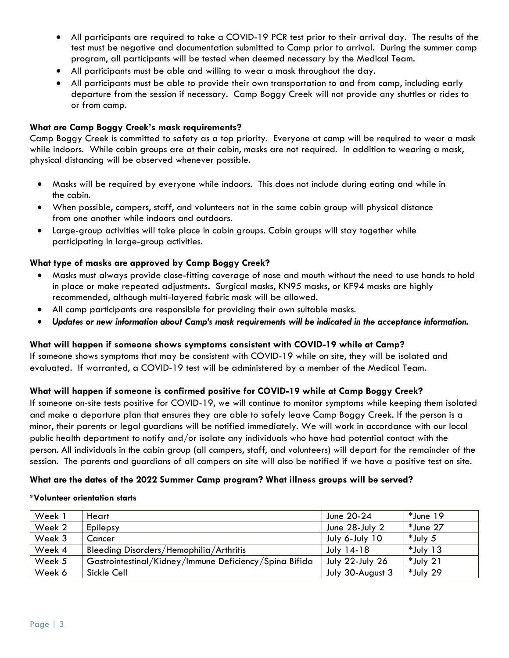- All participants are required to take a COVID-19 PCR test prior to their arrival day. The results of the test must be negative and documentation submitted to Camp prior to arrival. During the summer camp program, all participants will be tested when deemed necessary by the Medical Team.
- All participants must be able and willing to wear a mask throughout the day.
- All participants must be able to provide their own transportation to and from camp, including early departure from the session if necessary. Camp Boggy Creek will not provide any shuttles or rides to or from camp.

#### **What are Camp Boggy Creek's mask requirements?**

Camp Boggy Creek is committed to safety as a top priority. Everyone at camp will be required to wear a mask while indoors. While cabin groups are at their cabin, masks are not required. In addition to wearing a mask, physical distancing will be observed whenever possible.

- Masks will be required by everyone while indoors. This does not include during eating and while in the cabin.
- When possible, campers, staff, and volunteers not in the same cabin group will physical distance from one another while indoors and outdoors.
- Large-group activities will take place in cabin groups. Cabin groups will stay together while participating in large-group activities.

#### **What type of masks are approved by Camp Boggy Creek?**

- Masks must always provide close-fitting coverage of nose and mouth without the need to use hands to hold in place or make repeated adjustments**.** Surgical masks, KN95 masks, or KF94 masks are highly recommended, although multi-layered fabric mask will be allowed.
- All camp participants are responsible for providing their own suitable masks.
- *Updates or new information about Camp's mask requirements will be indicated in the acceptance information.*

#### **What will happen if someone shows symptoms consistent with COVID-19 while at Camp?**

If someone shows symptoms that may be consistent with COVID-19 while on site, they will be isolated and evaluated. If warranted, a COVID-19 test will be administered by a member of the Medical Team.

#### **What will happen if someone is confirmed positive for COVID-19 while at Camp Boggy Creek?**

If someone on-site tests positive for COVID-19, we will continue to monitor symptoms while keeping them isolated and make a departure plan that ensures they are able to safely leave Camp Boggy Creek. If the person is a minor, their parents or legal guardians will be notified immediately. We will work in accordance with our local public health department to notify and/or isolate any individuals who have had potential contact with the person. All individuals in the cabin group (all campers, staff, and volunteers) will depart for the remainder of the session. The parents and guardians of all campers on site will also be notified if we have a positive test on site.

#### **What are the dates of the 2022 Summer Camp program? What illness groups will be served?**

#### **\*Volunteer orientation starts**

| Week 1 | Heart                                                  | June 20-24        | *June 19    |
|--------|--------------------------------------------------------|-------------------|-------------|
| Week 2 | Epilepsy                                               | June 28-July 2    | *June 27    |
| Week 3 | Cancer                                                 | July 6-July 10    | *July 5     |
| Week 4 | Bleeding Disorders/Hemophilia/Arthritis                | <b>July 14-18</b> | $*$ July 13 |
| Week 5 | Gastrointestinal/Kidney/Immune Deficiency/Spina Bifida | July 22-July 26   | *July 21    |
| Week 6 | Sickle Cell                                            | July 30-August 3  | *July 29    |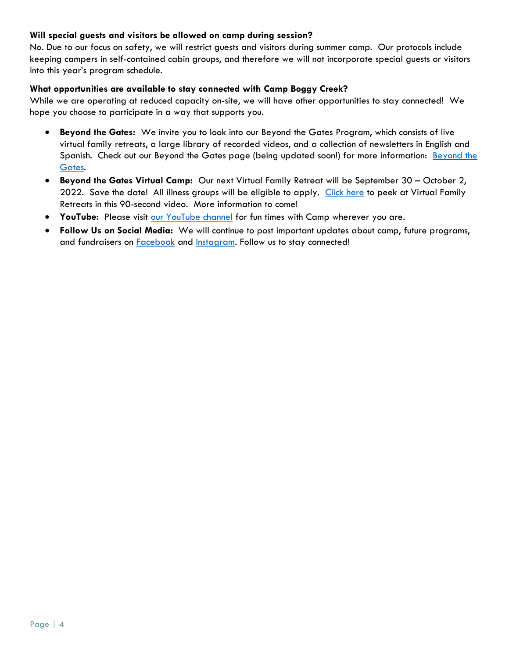# **Will special guests and visitors be allowed on camp during session?**

No. Due to our focus on safety, we will restrict guests and visitors during summer camp. Our protocols include keeping campers in self-contained cabin groups, and therefore we will not incorporate special guests or visitors into this year's program schedule.

## **What opportunities are available to stay connected with Camp Boggy Creek?**

While we are operating at reduced capacity on-site, we will have other opportunities to stay connected! We hope you choose to participate in a way that supports you.

- **Beyond the Gates:** We invite you to look into our Beyond the Gates Program, which consists of live virtual family retreats, a large library of recorded videos, and a collection of newsletters in English and Spanish. Check out our Beyond the Gates page (being updated soon!) for more information: [Beyond the](https://www.boggycreek.org/beyond-the-gates/)  [Gates.](https://www.boggycreek.org/beyond-the-gates/)
- **Beyond the Gates Virtual Camp:** Our next Virtual Family Retreat will be September 30 October 2, 2022. Save the date! All illness groups will be eligible to apply. [Click here](https://www.youtube.com/watch?v=kcy0g36p8zw) to peek at Virtual Family Retreats in this 90-second video. More information to come!
- **YouTube:** Please visit [our YouTube channel](http://www.youtube.com/campboggycreek) for fun times with Camp wherever you are.
- **Follow Us on Social Media:** We will continue to post important updates about camp, future programs, and fundraisers on **Facebook** and **Instagram**. Follow us to stay connected!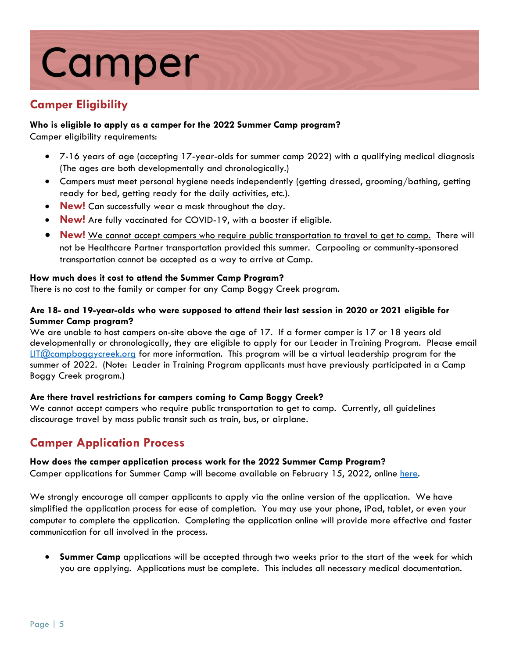# Camper

# **Camper Eligibility**

# **Who is eligible to apply as a camper for the 2022 Summer Camp program?**

Camper eligibility requirements:

- 7-16 years of age (accepting 17-year-olds for summer camp 2022) with a qualifying medical diagnosis (The ages are both developmentally and chronologically.)
- Campers must meet personal hygiene needs independently (getting dressed, grooming/bathing, getting ready for bed, getting ready for the daily activities, etc.).
- **New!** Can successfully wear a mask throughout the day.
- **New!** Are fully vaccinated for COVID-19, with a booster if eligible.
- **New!** We cannot accept campers who require public transportation to travel to get to camp. There will not be Healthcare Partner transportation provided this summer. Carpooling or community-sponsored transportation cannot be accepted as a way to arrive at Camp.

# **How much does it cost to attend the Summer Camp Program?**

There is no cost to the family or camper for any Camp Boggy Creek program.

# **Are 18- and 19-year-olds who were supposed to attend their last session in 2020 or 2021 eligible for Summer Camp program?**

We are unable to host campers on-site above the age of 17. If a former camper is 17 or 18 years old developmentally or chronologically, they are eligible to apply for our Leader in Training Program. Please email [LIT@campboggycreek.org](mailto:LIT@campboggycreek.org) for more information. This program will be a virtual leadership program for the summer of 2022. (Note: Leader in Training Program applicants must have previously participated in a Camp Boggy Creek program.)

# **Are there travel restrictions for campers coming to Camp Boggy Creek?**

We cannot accept campers who require public transportation to get to camp. Currently, all quidelines discourage travel by mass public transit such as train, bus, or airplane.

# **Camper Application Process**

# **How does the camper application process work for the 2022 Summer Camp Program?**

Camper applications for Summer Camp will become available on February 15, 2022, online [here.](https://www.boggycreek.org/campers/camper-application/)

We strongly encourage all camper applicants to apply via the online version of the application. We have simplified the application process for ease of completion. You may use your phone, iPad, tablet, or even your computer to complete the application. Completing the application online will provide more effective and faster communication for all involved in the process.

 **Summer Camp** applications will be accepted through two weeks prior to the start of the week for which you are applying. Applications must be complete. This includes all necessary medical documentation.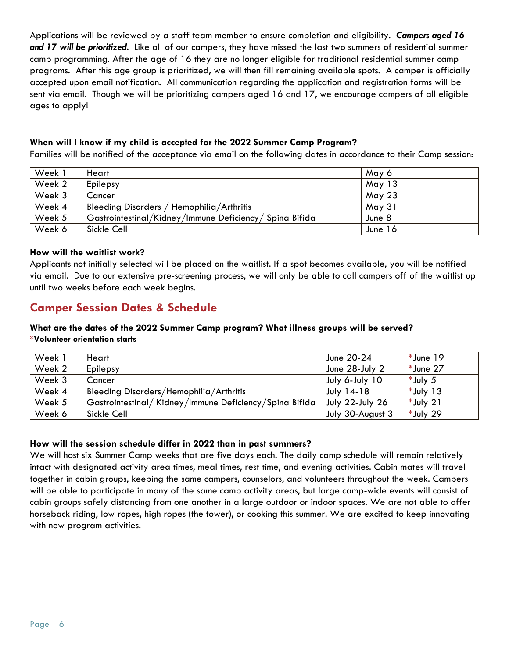Applications will be reviewed by a staff team member to ensure completion and eligibility. *Campers aged 16 and 17 will be prioritized.* Like all of our campers, they have missed the last two summers of residential summer camp programming. After the age of 16 they are no longer eligible for traditional residential summer camp programs. After this age group is prioritized, we will then fill remaining available spots. A camper is officially accepted upon email notification. All communication regarding the application and registration forms will be sent via email. Though we will be prioritizing campers aged 16 and 17, we encourage campers of all eligible ages to apply!

# **When will I know if my child is accepted for the 2022 Summer Camp Program?**

Families will be notified of the acceptance via email on the following dates in accordance to their Camp session:

| Week 1 | Heart                                                   | May 6         |
|--------|---------------------------------------------------------|---------------|
| Week 2 | Epilepsy                                                | May 13        |
| Week 3 | Cancer                                                  | May 23        |
| Week 4 | Bleeding Disorders / Hemophilia/Arthritis               | <b>May 31</b> |
| Week 5 | Gastrointestinal/Kidney/Immune Deficiency/ Spina Bifida | June 8        |
| Week 6 | Sickle Cell                                             | June 16       |

## **How will the waitlist work?**

Applicants not initially selected will be placed on the waitlist. If a spot becomes available, you will be notified via email. Due to our extensive pre-screening process, we will only be able to call campers off of the waitlist up until two weeks before each week begins.

# **Camper Session Dates & Schedule**

#### **What are the dates of the 2022 Summer Camp program? What illness groups will be served? \*Volunteer orientation starts**

| Week 1 | Heart                                                  | June 20-24             | *June 19    |
|--------|--------------------------------------------------------|------------------------|-------------|
| Week 2 | Epilepsy                                               | June 28-July 2         | *June 27    |
| Week 3 | Cancer                                                 | July 6-July 10         | *July 5     |
| Week 4 | Bleeding Disorders/Hemophilia/Arthritis                | <b>July 14-18</b>      | $*$ July 13 |
| Week 5 | Gastrointestinal/Kidney/Immune Deficiency/Spina Bifida | <b>July 22-July 26</b> | $*$ July 21 |
| Week 6 | Sickle Cell                                            | July 30-August 3       | *July 29    |

# **How will the session schedule differ in 2022 than in past summers?**

We will host six Summer Camp weeks that are five days each. The daily camp schedule will remain relatively intact with designated activity area times, meal times, rest time, and evening activities. Cabin mates will travel together in cabin groups, keeping the same campers, counselors, and volunteers throughout the week. Campers will be able to participate in many of the same camp activity areas, but large camp-wide events will consist of cabin groups safely distancing from one another in a large outdoor or indoor spaces. We are not able to offer horseback riding, low ropes, high ropes (the tower), or cooking this summer. We are excited to keep innovating with new program activities.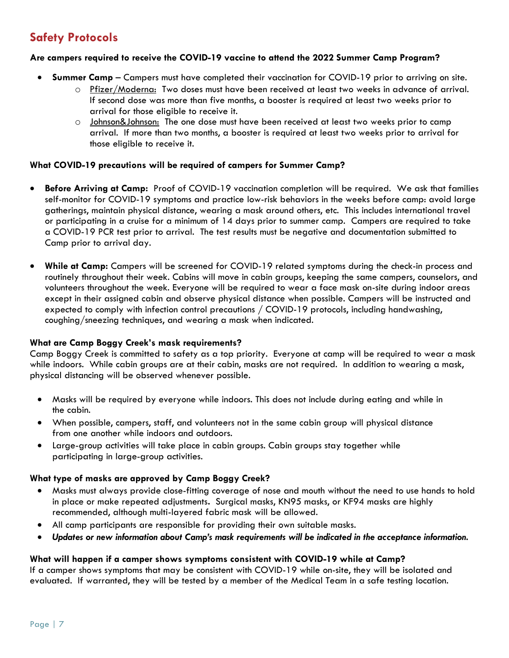# **Safety Protocols**

## **Are campers required to receive the COVID-19 vaccine to attend the 2022 Summer Camp Program?**

- **Summer Camp**  Campers must have completed their vaccination for COVID-19 prior to arriving on site.
	- o Pfizer/Moderna: Two doses must have been received at least two weeks in advance of arrival. If second dose was more than five months, a booster is required at least two weeks prior to arrival for those eligible to receive it.
	- o Johnson&Johnson: The one dose must have been received at least two weeks prior to camp arrival. If more than two months, a booster is required at least two weeks prior to arrival for those eligible to receive it.

#### **What COVID-19 precautions will be required of campers for Summer Camp?**

- **Before Arriving at Camp:** Proof of COVID-19 vaccination completion will be required. We ask that families self-monitor for COVID-19 symptoms and practice low-risk behaviors in the weeks before camp: avoid large gatherings, maintain physical distance, wearing a mask around others, etc. This includes international travel or participating in a cruise for a minimum of 14 days prior to summer camp. Campers are required to take a COVID-19 PCR test prior to arrival. The test results must be negative and documentation submitted to Camp prior to arrival day.
- **While at Camp:** Campers will be screened for COVID-19 related symptoms during the check-in process and routinely throughout their week. Cabins will move in cabin groups, keeping the same campers, counselors, and volunteers throughout the week. Everyone will be required to wear a face mask on-site during indoor areas except in their assigned cabin and observe physical distance when possible. Campers will be instructed and expected to comply with infection control precautions / COVID-19 protocols, including handwashing, coughing/sneezing techniques, and wearing a mask when indicated.

#### **What are Camp Boggy Creek's mask requirements?**

Camp Boggy Creek is committed to safety as a top priority. Everyone at camp will be required to wear a mask while indoors. While cabin groups are at their cabin, masks are not required. In addition to wearing a mask, physical distancing will be observed whenever possible.

- Masks will be required by everyone while indoors. This does not include during eating and while in the cabin.
- When possible, campers, staff, and volunteers not in the same cabin group will physical distance from one another while indoors and outdoors.
- Large-group activities will take place in cabin groups. Cabin groups stay together while participating in large-group activities.

# **What type of masks are approved by Camp Boggy Creek?**

- Masks must always provide close-fitting coverage of nose and mouth without the need to use hands to hold in place or make repeated adjustments**.** Surgical masks, KN95 masks, or KF94 masks are highly recommended, although multi-layered fabric mask will be allowed.
- All camp participants are responsible for providing their own suitable masks.
- *Updates or new information about Camp's mask requirements will be indicated in the acceptance information.*

# **What will happen if a camper shows symptoms consistent with COVID-19 while at Camp?**

If a camper shows symptoms that may be consistent with COVID-19 while on-site, they will be isolated and evaluated. If warranted, they will be tested by a member of the Medical Team in a safe testing location.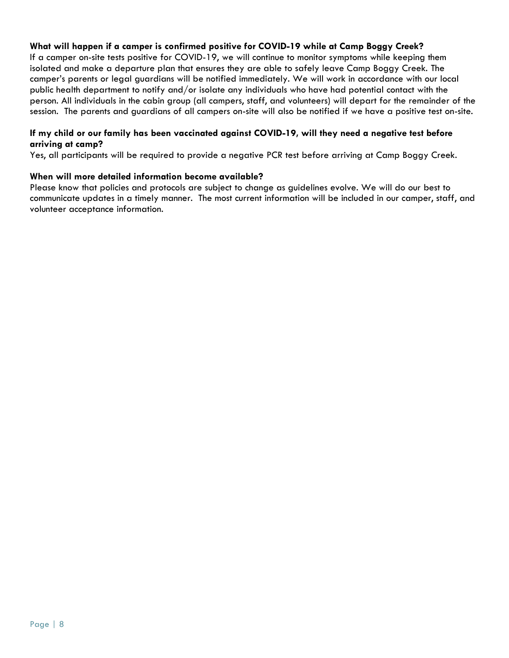# **What will happen if a camper is confirmed positive for COVID-19 while at Camp Boggy Creek?**

If a camper on-site tests positive for COVID-19, we will continue to monitor symptoms while keeping them isolated and make a departure plan that ensures they are able to safely leave Camp Boggy Creek. The camper's parents or legal guardians will be notified immediately. We will work in accordance with our local public health department to notify and/or isolate any individuals who have had potential contact with the person. All individuals in the cabin group (all campers, staff, and volunteers) will depart for the remainder of the session. The parents and guardians of all campers on-site will also be notified if we have a positive test on-site.

#### **If my child or our family has been vaccinated against COVID-19, will they need a negative test before arriving at camp?**

Yes, all participants will be required to provide a negative PCR test before arriving at Camp Boggy Creek.

#### **When will more detailed information become available?**

Please know that policies and protocols are subject to change as guidelines evolve. We will do our best to communicate updates in a timely manner. The most current information will be included in our camper, staff, and volunteer acceptance information.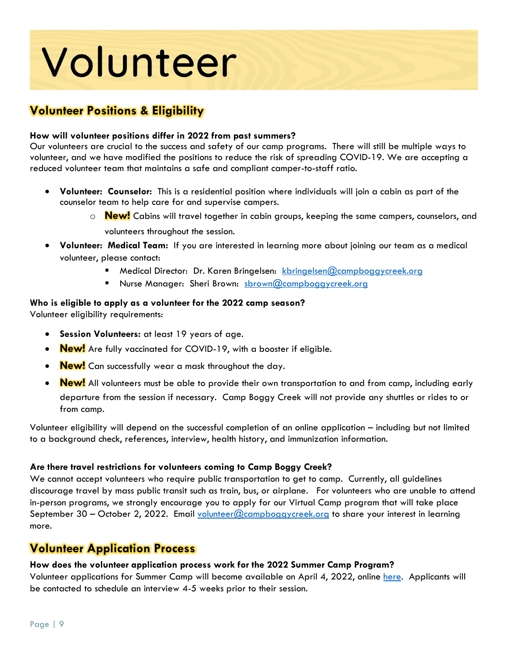# Volunteer

# **Volunteer Positions & Eligibility**

# **How will volunteer positions differ in 2022 from past summers?**

Our volunteers are crucial to the success and safety of our camp programs. There will still be multiple ways to volunteer, and we have modified the positions to reduce the risk of spreading COVID-19. We are accepting a reduced volunteer team that maintains a safe and compliant camper-to-staff ratio.

- **Volunteer: Counselor:** This is a residential position where individuals will join a cabin as part of the counselor team to help care for and supervise campers.
	- o **New!** Cabins will travel together in cabin groups, keeping the same campers, counselors, and volunteers throughout the session.
- **Volunteer: Medical Team:** If you are interested in learning more about joining our team as a medical volunteer, please contact:
	- Medical Director: Dr. Karen Bringelsen: [kbringelsen@campboggycreek.org](mailto:kbringelsen@campboggycreek.org)
	- Nurse Manager: Sheri Brown: [sbrown@campboggycreek.org](mailto:sbrown@campboggycreek.org)

## **Who is eligible to apply as a volunteer for the 2022 camp season?**

Volunteer eligibility requirements:

- **Session Volunteers:** at least 19 years of age.
- **New!** Are fully vaccinated for COVID-19, with a booster if eligible.
- **New!** Can successfully wear a mask throughout the day.
- **New!** All volunteers must be able to provide their own transportation to and from camp, including early departure from the session if necessary. Camp Boggy Creek will not provide any shuttles or rides to or from camp.

Volunteer eligibility will depend on the successful completion of an online application – including but not limited to a background check, references, interview, health history, and immunization information.

# **Are there travel restrictions for volunteers coming to Camp Boggy Creek?**

We cannot accept volunteers who require public transportation to get to camp. Currently, all guidelines discourage travel by mass public transit such as train, bus, or airplane. For volunteers who are unable to attend in-person programs, we strongly encourage you to apply for our Virtual Camp program that will take place September 30 – October 2, 2022. Email volunteer  $@$ campboggycreek.org to share your interest in learning more.

# **Volunteer Application Process**

# **How does the volunteer application process work for the 2022 Summer Camp Program?**

Volunteer applications for Summer Camp will become available on April 4, 2022, online [here.](https://www.ultracamp.com/clientlogin.aspx?idCamp=421&campCode=bcv) Applicants will be contacted to schedule an interview 4-5 weeks prior to their session.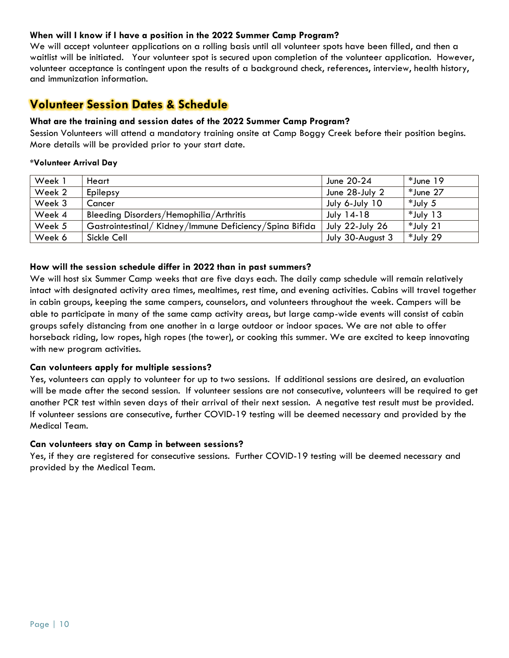## **When will I know if I have a position in the 2022 Summer Camp Program?**

We will accept volunteer applications on a rolling basis until all volunteer spots have been filled, and then a waitlist will be initiated. Your volunteer spot is secured upon completion of the volunteer application. However, volunteer acceptance is contingent upon the results of a background check, references, interview, health history, and immunization information.

# **Volunteer Session Dates & Schedule**

## **What are the training and session dates of the 2022 Summer Camp Program?**

Session Volunteers will attend a mandatory training onsite at Camp Boggy Creek before their position begins. More details will be provided prior to your start date.

#### **\*Volunteer Arrival Day**

| Week 1 | Heart                                                  | June 20-24        | *June 19    |
|--------|--------------------------------------------------------|-------------------|-------------|
| Week 2 | Epilepsy                                               | June 28-July 2    | *June 27    |
| Week 3 | Cancer                                                 | July 6-July 10    | *July 5     |
| Week 4 | Bleeding Disorders/Hemophilia/Arthritis                | <b>July 14-18</b> | $*$ July 13 |
| Week 5 | Gastrointestinal/Kidney/Immune Deficiency/Spina Bifida | July 22-July 26   | *July 21    |
| Week 6 | Sickle Cell                                            | July 30-August 3  | *July 29    |

#### **How will the session schedule differ in 2022 than in past summers?**

We will host six Summer Camp weeks that are five days each. The daily camp schedule will remain relatively intact with designated activity area times, mealtimes, rest time, and evening activities. Cabins will travel together in cabin groups, keeping the same campers, counselors, and volunteers throughout the week. Campers will be able to participate in many of the same camp activity areas, but large camp-wide events will consist of cabin groups safely distancing from one another in a large outdoor or indoor spaces. We are not able to offer horseback riding, low ropes, high ropes (the tower), or cooking this summer. We are excited to keep innovating with new program activities.

#### **Can volunteers apply for multiple sessions?**

Yes, volunteers can apply to volunteer for up to two sessions. If additional sessions are desired, an evaluation will be made after the second session. If volunteer sessions are not consecutive, volunteers will be required to get another PCR test within seven days of their arrival of their next session. A negative test result must be provided. If volunteer sessions are consecutive, further COVID-19 testing will be deemed necessary and provided by the Medical Team.

#### **Can volunteers stay on Camp in between sessions?**

Yes, if they are registered for consecutive sessions. Further COVID-19 testing will be deemed necessary and provided by the Medical Team.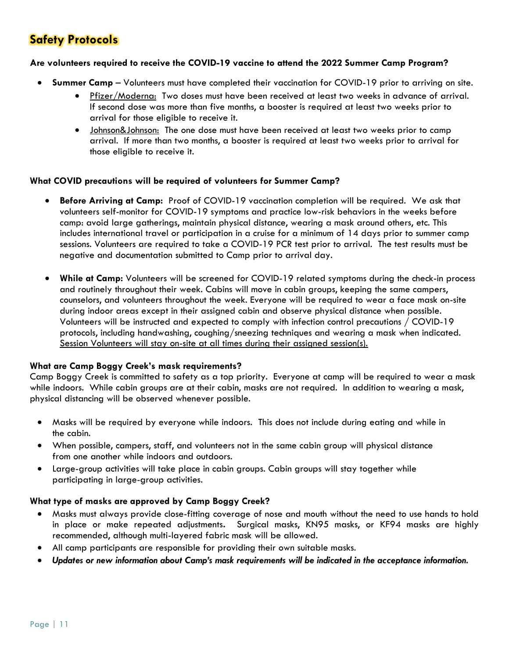# **Safety Protocols**

#### **Are volunteers required to receive the COVID-19 vaccine to attend the 2022 Summer Camp Program?**

- **Summer Camp**  Volunteers must have completed their vaccination for COVID-19 prior to arriving on site.
	- Pfizer/Moderna: Two doses must have been received at least two weeks in advance of arrival. If second dose was more than five months, a booster is required at least two weeks prior to arrival for those eligible to receive it.
	- Johnson&Johnson: The one dose must have been received at least two weeks prior to camp arrival. If more than two months, a booster is required at least two weeks prior to arrival for those eligible to receive it.

## **What COVID precautions will be required of volunteers for Summer Camp?**

- **Before Arriving at Camp:** Proof of COVID-19 vaccination completion will be required. We ask that volunteers self-monitor for COVID-19 symptoms and practice low-risk behaviors in the weeks before camp: avoid large gatherings, maintain physical distance, wearing a mask around others, etc. This includes international travel or participation in a cruise for a minimum of 14 days prior to summer camp sessions. Volunteers are required to take a COVID-19 PCR test prior to arrival. The test results must be negative and documentation submitted to Camp prior to arrival day.
- **While at Camp:** Volunteers will be screened for COVID-19 related symptoms during the check-in process and routinely throughout their week. Cabins will move in cabin groups, keeping the same campers, counselors, and volunteers throughout the week. Everyone will be required to wear a face mask on-site during indoor areas except in their assigned cabin and observe physical distance when possible. Volunteers will be instructed and expected to comply with infection control precautions / COVID-19 protocols, including handwashing, coughing/sneezing techniques and wearing a mask when indicated. Session Volunteers will stay on-site at all times during their assigned session(s).

# **What are Camp Boggy Creek's mask requirements?**

Camp Boggy Creek is committed to safety as a top priority. Everyone at camp will be required to wear a mask while indoors. While cabin groups are at their cabin, masks are not required. In addition to wearing a mask, physical distancing will be observed whenever possible.

- Masks will be required by everyone while indoors. This does not include during eating and while in the cabin.
- When possible, campers, staff, and volunteers not in the same cabin group will physical distance from one another while indoors and outdoors.
- Large-group activities will take place in cabin groups. Cabin groups will stay together while participating in large-group activities.

#### **What type of masks are approved by Camp Boggy Creek?**

- Masks must always provide close-fitting coverage of nose and mouth without the need to use hands to hold in place or make repeated adjustments**.** Surgical masks, KN95 masks, or KF94 masks are highly recommended, although multi-layered fabric mask will be allowed.
- All camp participants are responsible for providing their own suitable masks.
- *Updates or new information about Camp's mask requirements will be indicated in the acceptance information.*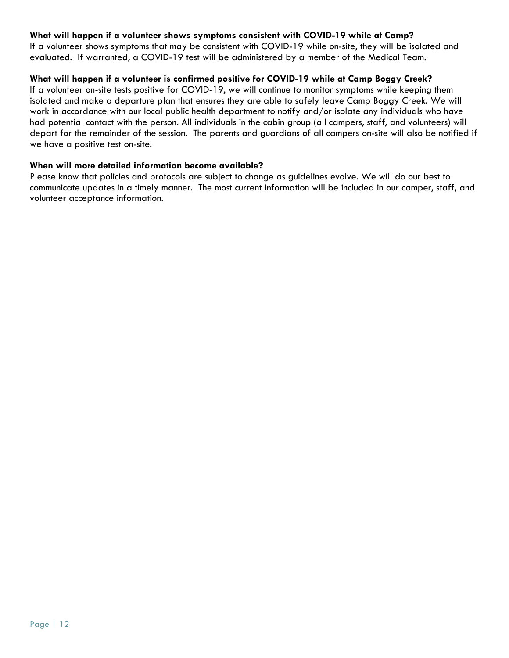# **What will happen if a volunteer shows symptoms consistent with COVID-19 while at Camp?**

If a volunteer shows symptoms that may be consistent with COVID-19 while on-site, they will be isolated and evaluated. If warranted, a COVID-19 test will be administered by a member of the Medical Team.

## **What will happen if a volunteer is confirmed positive for COVID-19 while at Camp Boggy Creek?**

If a volunteer on-site tests positive for COVID-19, we will continue to monitor symptoms while keeping them isolated and make a departure plan that ensures they are able to safely leave Camp Boggy Creek. We will work in accordance with our local public health department to notify and/or isolate any individuals who have had potential contact with the person. All individuals in the cabin group (all campers, staff, and volunteers) will depart for the remainder of the session. The parents and guardians of all campers on-site will also be notified if we have a positive test on-site.

#### **When will more detailed information become available?**

Please know that policies and protocols are subject to change as guidelines evolve. We will do our best to communicate updates in a timely manner. The most current information will be included in our camper, staff, and volunteer acceptance information.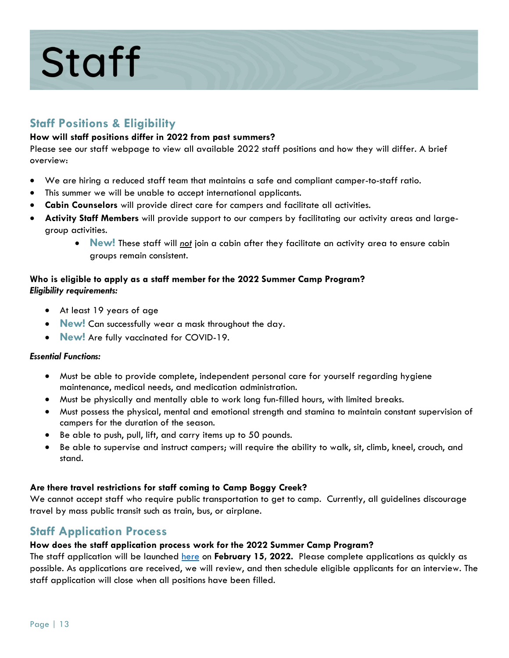# **Staff**

# **Staff Positions & Eligibility**

# **How will staff positions differ in 2022 from past summers?**

Please see our staff webpage to view all available 2022 staff positions and how they will differ. A brief overview:

- We are hiring a reduced staff team that maintains a safe and compliant camper-to-staff ratio.
- This summer we will be unable to accept international applicants.
- **Cabin Counselors** will provide direct care for campers and facilitate all activities.
- **Activity Staff Members** will provide support to our campers by facilitating our activity areas and largegroup activities.
	- **New!** These staff will *not* join a cabin after they facilitate an activity area to ensure cabin groups remain consistent.

# **Who is eligible to apply as a staff member for the 2022 Summer Camp Program?** *Eligibility requirements:*

- At least 19 years of age
- **New!** Can successfully wear a mask throughout the day.
- **New!** Are fully vaccinated for COVID-19.

# *Essential Functions:*

- Must be able to provide complete, independent personal care for yourself regarding hygiene maintenance, medical needs, and medication administration.
- Must be physically and mentally able to work long fun-filled hours, with limited breaks.
- Must possess the physical, mental and emotional strength and stamina to maintain constant supervision of campers for the duration of the season.
- Be able to push, pull, lift, and carry items up to 50 pounds.
- Be able to supervise and instruct campers; will require the ability to walk, sit, climb, kneel, crouch, and stand.

# **Are there travel restrictions for staff coming to Camp Boggy Creek?**

We cannot accept staff who require public transportation to get to camp. Currently, all guidelines discourage travel by mass public transit such as train, bus, or airplane.

# **Staff Application Process**

# **How does the staff application process work for the 2022 Summer Camp Program?**

The staff application will be launched [here](https://www.ultracamp.com/clientlogin.aspx?idCamp=421&campCode=bcv) on **February 15, 2022.** Please complete applications as quickly as possible. As applications are received, we will review, and then schedule eligible applicants for an interview. The staff application will close when all positions have been filled.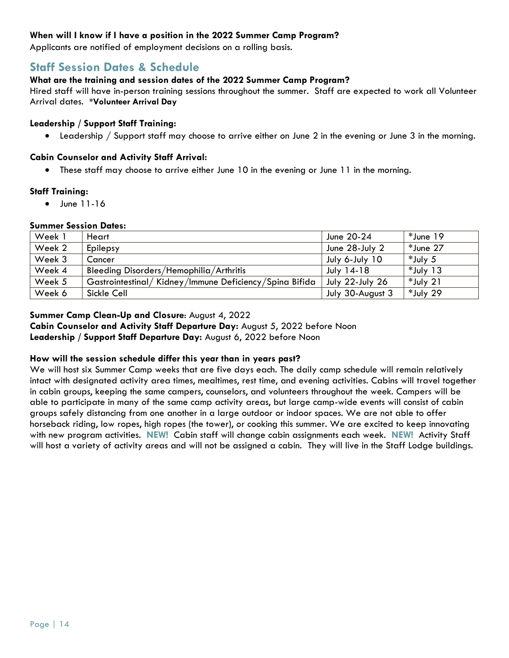## **When will I know if I have a position in the 2022 Summer Camp Program?**

Applicants are notified of employment decisions on a rolling basis.

# **Staff Session Dates & Schedule**

# **What are the training and session dates of the 2022 Summer Camp Program?**

Hired staff will have in-person training sessions throughout the summer. Staff are expected to work all Volunteer Arrival dates. **\*Volunteer Arrival Day** 

## **Leadership / Support Staff Training:**

Leadership / Support staff may choose to arrive either on June 2 in the evening or June 3 in the morning.

## **Cabin Counselor and Activity Staff Arrival:**

These staff may choose to arrive either June 10 in the evening or June 11 in the morning.

#### **Staff Training:**

 $\bullet$  June 11-16

#### **Summer Session Dates:**

| Week 1 | Heart                                                  | June 20-24             | *June 19    |
|--------|--------------------------------------------------------|------------------------|-------------|
| Week 2 | Epilepsy                                               | June 28-July 2         | *June 27    |
| Week 3 | Cancer                                                 | July 6-July 10         | *July 5     |
| Week 4 | Bleeding Disorders/Hemophilia/Arthritis                | July 14-18             | $*$ July 13 |
| Week 5 | Gastrointestinal/Kidney/Immune Deficiency/Spina Bifida | <b>July 22-July 26</b> | *July 21    |
| Week 6 | Sickle Cell                                            | July 30-August 3       | *July 29    |

# **Summer Camp Clean-Up and Closure**: August 4, 2022

**Cabin Counselor and Activity Staff Departure Day:** August 5, 2022 before Noon **Leadership / Support Staff Departure Day:** August 6, 2022 before Noon

#### **How will the session schedule differ this year than in years past?**

We will host six Summer Camp weeks that are five days each. The daily camp schedule will remain relatively intact with designated activity area times, mealtimes, rest time, and evening activities. Cabins will travel together in cabin groups, keeping the same campers, counselors, and volunteers throughout the week. Campers will be able to participate in many of the same camp activity areas, but large camp-wide events will consist of cabin groups safely distancing from one another in a large outdoor or indoor spaces. We are not able to offer horseback riding, low ropes, high ropes (the tower), or cooking this summer. We are excited to keep innovating with new program activities. **NEW!** Cabin staff will change cabin assignments each week. **NEW!** Activity Staff will host a variety of activity areas and will not be assigned a cabin. They will live in the Staff Lodge buildings.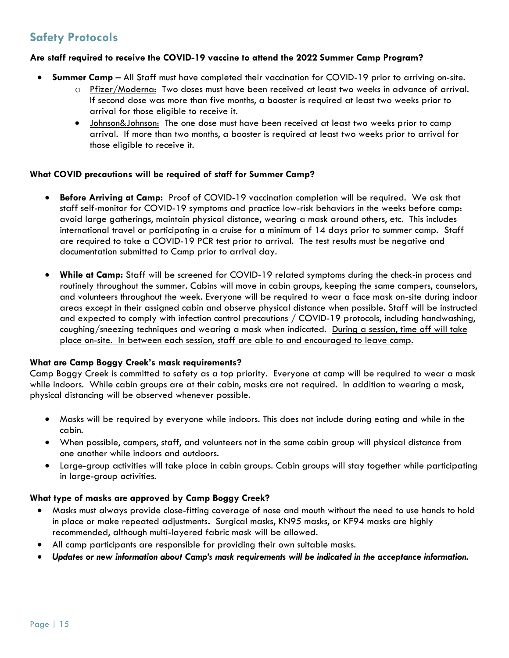# **Safety Protocols**

## **Are staff required to receive the COVID-19 vaccine to attend the 2022 Summer Camp Program?**

- **Summer Camp**  All Staff must have completed their vaccination for COVID-19 prior to arriving on-site.
	- o Pfizer/Moderna: Two doses must have been received at least two weeks in advance of arrival. If second dose was more than five months, a booster is required at least two weeks prior to arrival for those eligible to receive it.
	- Johnson&Johnson: The one dose must have been received at least two weeks prior to camp arrival. If more than two months, a booster is required at least two weeks prior to arrival for those eligible to receive it.

#### **What COVID precautions will be required of staff for Summer Camp?**

- **Before Arriving at Camp:** Proof of COVID-19 vaccination completion will be required. We ask that staff self-monitor for COVID-19 symptoms and practice low-risk behaviors in the weeks before camp: avoid large gatherings, maintain physical distance, wearing a mask around others, etc. This includes international travel or participating in a cruise for a minimum of 14 days prior to summer camp. Staff are required to take a COVID-19 PCR test prior to arrival. The test results must be negative and documentation submitted to Camp prior to arrival day.
- **While at Camp:** Staff will be screened for COVID-19 related symptoms during the check-in process and routinely throughout the summer. Cabins will move in cabin groups, keeping the same campers, counselors, and volunteers throughout the week. Everyone will be required to wear a face mask on-site during indoor areas except in their assigned cabin and observe physical distance when possible. Staff will be instructed and expected to comply with infection control precautions / COVID-19 protocols, including handwashing, coughing/sneezing techniques and wearing a mask when indicated. During a session, time off will take place on-site. In between each session, staff are able to and encouraged to leave camp.

# **What are Camp Boggy Creek's mask requirements?**

Camp Boggy Creek is committed to safety as a top priority. Everyone at camp will be required to wear a mask while indoors. While cabin groups are at their cabin, masks are not required. In addition to wearing a mask, physical distancing will be observed whenever possible.

- Masks will be required by everyone while indoors. This does not include during eating and while in the cabin.
- When possible, campers, staff, and volunteers not in the same cabin group will physical distance from one another while indoors and outdoors.
- Large-group activities will take place in cabin groups. Cabin groups will stay together while participating in large-group activities.

# **What type of masks are approved by Camp Boggy Creek?**

- Masks must always provide close-fitting coverage of nose and mouth without the need to use hands to hold in place or make repeated adjustments**.** Surgical masks, KN95 masks, or KF94 masks are highly recommended, although multi-layered fabric mask will be allowed.
- All camp participants are responsible for providing their own suitable masks.
- *Updates or new information about Camp's mask requirements will be indicated in the acceptance information.*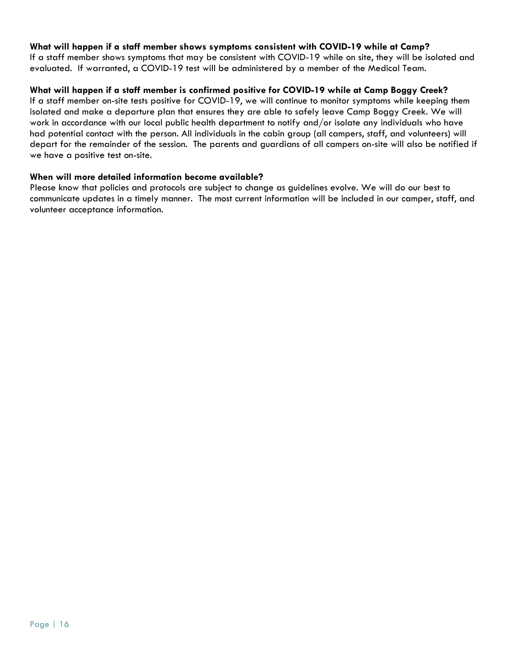## **What will happen if a staff member shows symptoms consistent with COVID-19 while at Camp?**

If a staff member shows symptoms that may be consistent with COVID-19 while on site, they will be isolated and evaluated. If warranted, a COVID-19 test will be administered by a member of the Medical Team.

## **What will happen if a staff member is confirmed positive for COVID-19 while at Camp Boggy Creek?**

If a staff member on-site tests positive for COVID-19, we will continue to monitor symptoms while keeping them isolated and make a departure plan that ensures they are able to safely leave Camp Boggy Creek. We will work in accordance with our local public health department to notify and/or isolate any individuals who have had potential contact with the person. All individuals in the cabin group (all campers, staff, and volunteers) will depart for the remainder of the session. The parents and guardians of all campers on-site will also be notified if we have a positive test on-site.

#### **When will more detailed information become available?**

Please know that policies and protocols are subject to change as guidelines evolve. We will do our best to communicate updates in a timely manner. The most current information will be included in our camper, staff, and volunteer acceptance information.